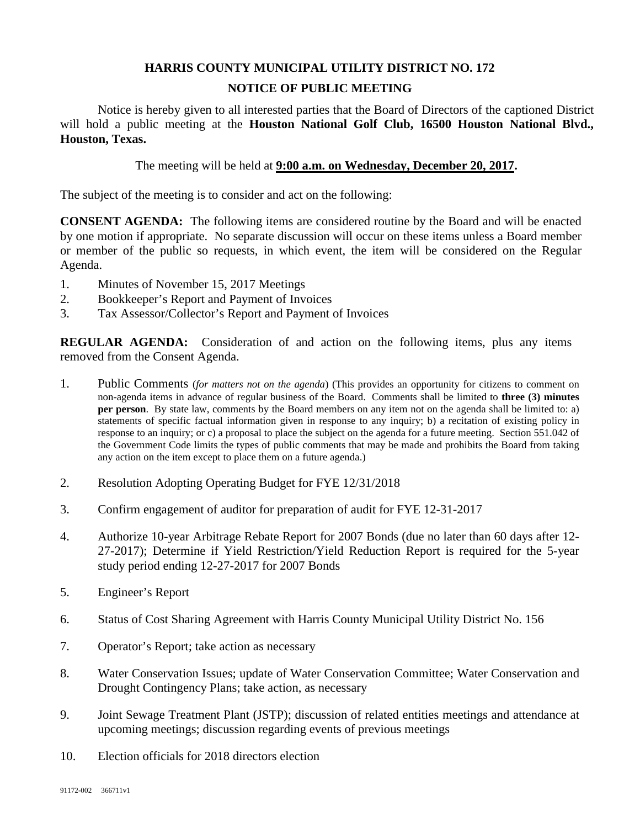## **HARRIS COUNTY MUNICIPAL UTILITY DISTRICT NO. 172 NOTICE OF PUBLIC MEETING**

Notice is hereby given to all interested parties that the Board of Directors of the captioned District will hold a public meeting at the **Houston National Golf Club, 16500 Houston National Blvd., Houston, Texas.** 

The meeting will be held at **9:00 a.m. on Wednesday, December 20, 2017.**

The subject of the meeting is to consider and act on the following:

**CONSENT AGENDA:** The following items are considered routine by the Board and will be enacted by one motion if appropriate. No separate discussion will occur on these items unless a Board member or member of the public so requests, in which event, the item will be considered on the Regular Agenda.

- 1. Minutes of November 15, 2017 Meetings
- 2. Bookkeeper's Report and Payment of Invoices
- 3. Tax Assessor/Collector's Report and Payment of Invoices

**REGULAR AGENDA:** Consideration of and action on the following items, plus any items removed from the Consent Agenda.

- 1. Public Comments (*for matters not on the agenda*) (This provides an opportunity for citizens to comment on non-agenda items in advance of regular business of the Board. Comments shall be limited to **three (3) minutes per person**. By state law, comments by the Board members on any item not on the agenda shall be limited to: a) statements of specific factual information given in response to any inquiry; b) a recitation of existing policy in response to an inquiry; or c) a proposal to place the subject on the agenda for a future meeting. Section 551.042 of the Government Code limits the types of public comments that may be made and prohibits the Board from taking any action on the item except to place them on a future agenda.)
- 2. Resolution Adopting Operating Budget for FYE 12/31/2018
- 3. Confirm engagement of auditor for preparation of audit for FYE 12-31-2017
- 4. Authorize 10-year Arbitrage Rebate Report for 2007 Bonds (due no later than 60 days after 12- 27-2017); Determine if Yield Restriction/Yield Reduction Report is required for the 5-year study period ending 12-27-2017 for 2007 Bonds
- 5. Engineer's Report
- 6. Status of Cost Sharing Agreement with Harris County Municipal Utility District No. 156
- 7. Operator's Report; take action as necessary
- 8. Water Conservation Issues; update of Water Conservation Committee; Water Conservation and Drought Contingency Plans; take action, as necessary
- 9. Joint Sewage Treatment Plant (JSTP); discussion of related entities meetings and attendance at upcoming meetings; discussion regarding events of previous meetings
- 10. Election officials for 2018 directors election